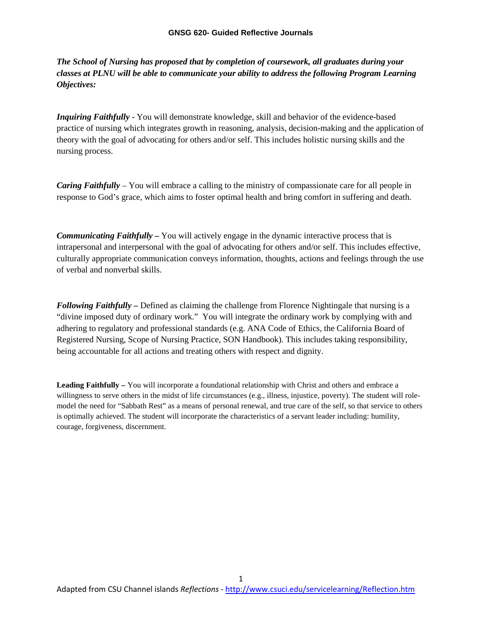*The School of Nursing has proposed that by completion of coursework, all graduates during your classes at PLNU will be able to communicate your ability to address the following Program Learning Objectives:*

*Inquiring Faithfully* - You will demonstrate knowledge, skill and behavior of the evidence-based practice of nursing which integrates growth in reasoning, analysis, decision-making and the application of theory with the goal of advocating for others and/or self. This includes holistic nursing skills and the nursing process.

*Caring Faithfully –* You will embrace a calling to the ministry of compassionate care for all people in response to God's grace, which aims to foster optimal health and bring comfort in suffering and death.

*Communicating Faithfully –* You will actively engage in the dynamic interactive process that is intrapersonal and interpersonal with the goal of advocating for others and/or self. This includes effective, culturally appropriate communication conveys information, thoughts, actions and feelings through the use of verbal and nonverbal skills.

*Following Faithfully –* Defined as claiming the challenge from Florence Nightingale that nursing is a "divine imposed duty of ordinary work." You will integrate the ordinary work by complying with and adhering to regulatory and professional standards (e.g. ANA Code of Ethics, the California Board of Registered Nursing, Scope of Nursing Practice, SON Handbook). This includes taking responsibility, being accountable for all actions and treating others with respect and dignity.

**Leading Faithfully –** You will incorporate a foundational relationship with Christ and others and embrace a willingness to serve others in the midst of life circumstances (e.g., illness, injustice, poverty). The student will rolemodel the need for "Sabbath Rest" as a means of personal renewal, and true care of the self, so that service to others is optimally achieved. The student will incorporate the characteristics of a servant leader including: humility, courage, forgiveness, discernment.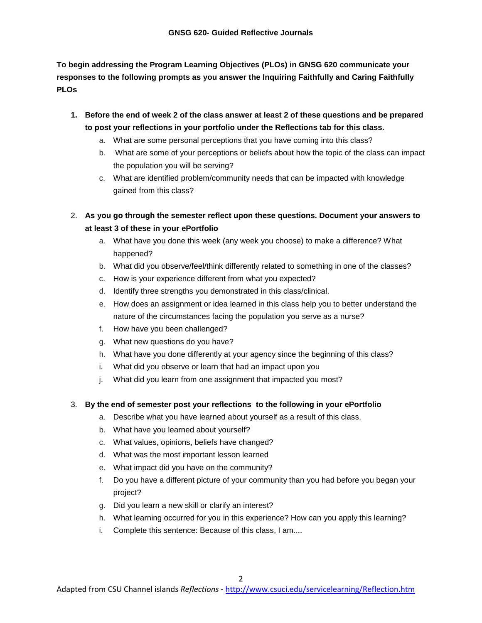**To begin addressing the Program Learning Objectives (PLOs) in GNSG 620 communicate your responses to the following prompts as you answer the Inquiring Faithfully and Caring Faithfully PLOs** 

- **1. Before the end of week 2 of the class answer at least 2 of these questions and be prepared to post your reflections in your portfolio under the Reflections tab for this class.**
	- a. What are some personal perceptions that you have coming into this class?
	- b. What are some of your perceptions or beliefs about how the topic of the class can impact the population you will be serving?
	- c. What are identified problem/community needs that can be impacted with knowledge gained from this class?
- 2. **As you go through the semester reflect upon these questions. Document your answers to at least 3 of these in your ePortfolio**
	- a. What have you done this week (any week you choose) to make a difference? What happened?
	- b. What did you observe/feel/think differently related to something in one of the classes?
	- c. How is your experience different from what you expected?
	- d. Identify three strengths you demonstrated in this class/clinical.
	- e. How does an assignment or idea learned in this class help you to better understand the nature of the circumstances facing the population you serve as a nurse?
	- f. How have you been challenged?
	- g. What new questions do you have?
	- h. What have you done differently at your agency since the beginning of this class?
	- i. What did you observe or learn that had an impact upon you
	- j. What did you learn from one assignment that impacted you most?

#### 3. **By the end of semester post your reflections to the following in your ePortfolio**

- a. Describe what you have learned about yourself as a result of this class.
- b. What have you learned about yourself?
- c. What values, opinions, beliefs have changed?
- d. What was the most important lesson learned
- e. What impact did you have on the community?
- f. Do you have a different picture of your community than you had before you began your project?
- g. Did you learn a new skill or clarify an interest?
- h. What learning occurred for you in this experience? How can you apply this learning?
- i. Complete this sentence: Because of this class, I am....